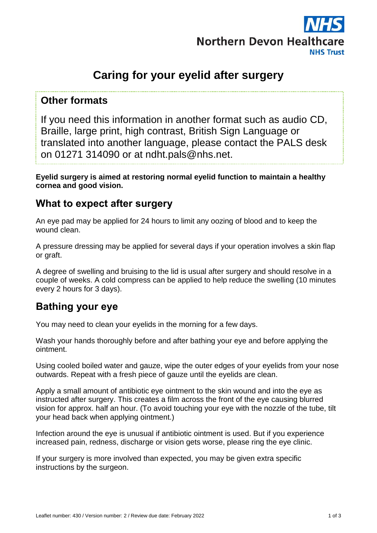

# **Caring for your eyelid after surgery**

#### **Other formats**

If you need this information in another format such as audio CD, Braille, large print, high contrast, British Sign Language or translated into another language, please contact the PALS desk on 01271 314090 or at ndht.pals@nhs.net.

**Eyelid surgery is aimed at restoring normal eyelid function to maintain a healthy cornea and good vision.**

#### **What to expect after surgery**

An eye pad may be applied for 24 hours to limit any oozing of blood and to keep the wound clean.

A pressure dressing may be applied for several days if your operation involves a skin flap or graft.

A degree of swelling and bruising to the lid is usual after surgery and should resolve in a couple of weeks. A cold compress can be applied to help reduce the swelling (10 minutes every 2 hours for 3 days).

# **Bathing your eye**

You may need to clean your eyelids in the morning for a few days.

Wash your hands thoroughly before and after bathing your eye and before applying the ointment.

Using cooled boiled water and gauze, wipe the outer edges of your eyelids from your nose outwards. Repeat with a fresh piece of gauze until the eyelids are clean.

Apply a small amount of antibiotic eye ointment to the skin wound and into the eye as instructed after surgery. This creates a film across the front of the eye causing blurred vision for approx. half an hour. (To avoid touching your eye with the nozzle of the tube, tilt your head back when applying ointment.)

Infection around the eye is unusual if antibiotic ointment is used. But if you experience increased pain, redness, discharge or vision gets worse, please ring the eye clinic.

If your surgery is more involved than expected, you may be given extra specific instructions by the surgeon.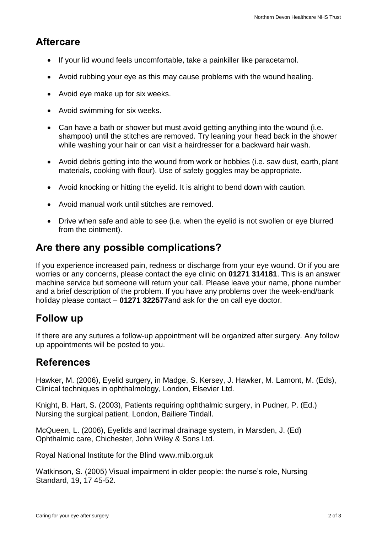# **Aftercare**

- If your lid wound feels uncomfortable, take a painkiller like paracetamol.
- Avoid rubbing your eye as this may cause problems with the wound healing.
- Avoid eye make up for six weeks.
- Avoid swimming for six weeks.
- Can have a bath or shower but must avoid getting anything into the wound (i.e. shampoo) until the stitches are removed. Try leaning your head back in the shower while washing your hair or can visit a hairdresser for a backward hair wash.
- Avoid debris getting into the wound from work or hobbies (i.e. saw dust, earth, plant materials, cooking with flour). Use of safety goggles may be appropriate.
- Avoid knocking or hitting the eyelid. It is alright to bend down with caution.
- Avoid manual work until stitches are removed.
- Drive when safe and able to see (i.e. when the evelid is not swollen or eve blurred from the ointment).

# **Are there any possible complications?**

If you experience increased pain, redness or discharge from your eye wound. Or if you are worries or any concerns, please contact the eye clinic on **01271 314181**. This is an answer machine service but someone will return your call. Please leave your name, phone number and a brief description of the problem. If you have any problems over the week-end/bank holiday please contact – **01271 322577**and ask for the on call eye doctor.

# **Follow up**

If there are any sutures a follow-up appointment will be organized after surgery. Any follow up appointments will be posted to you.

### **References**

Hawker, M. (2006), Eyelid surgery, in Madge, S. Kersey, J. Hawker, M. Lamont, M. (Eds), Clinical techniques in ophthalmology, London, Elsevier Ltd.

Knight, B. Hart, S. (2003), Patients requiring ophthalmic surgery, in Pudner, P. (Ed.) Nursing the surgical patient, London, Bailiere Tindall.

McQueen, L. (2006), Eyelids and lacrimal drainage system, in Marsden, J. (Ed) Ophthalmic care, Chichester, John Wiley & Sons Ltd.

Royal National Institute for the Blind [www.rnib.org.uk](http://www.rnib.org.uk/)

Watkinson, S. (2005) Visual impairment in older people: the nurse's role, Nursing Standard, 19, 17 45-52.